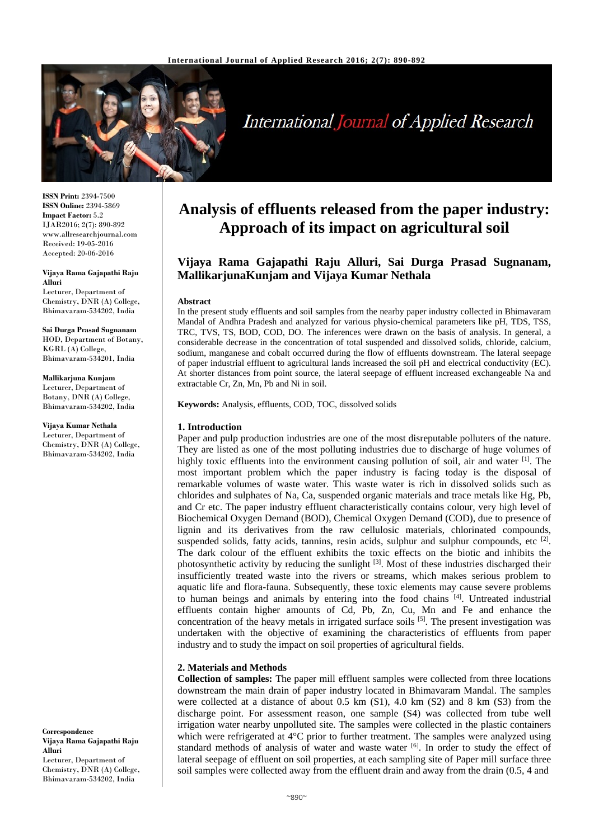

# **International Journal of Applied Research**

**ISSN Print:** 2394-7500 **ISSN Online:** 2394-5869 **Impact Factor:** 5.2 IJAR2016; 2(7): 890-892 www.allresearchjournal.com Received: 19-05-2016 Accepted: 20-06-2016

#### **Vijaya Rama Gajapathi Raju Alluri**

Lecturer, Department of Chemistry, DNR (A) College, Bhimavaram-534202, India

**Sai Durga Prasad Sugnanam** HOD, Department of Botany, KGRL (A) College, Bhimavaram-534201, India

**Mallikarjuna Kunjam** Lecturer, Department of Botany, DNR (A) College, Bhimavaram-534202, India

**Vijaya Kumar Nethala** Lecturer, Department of Chemistry, DNR (A) College, Bhimavaram-534202, India

**Correspondence Vijaya Rama Gajapathi Raju Alluri** Lecturer, Department of Chemistry, DNR (A) College, Bhimavaram-534202, India

# **Analysis of effluents released from the paper industry: Approach of its impact on agricultural soil**

# **Vijaya Rama Gajapathi Raju Alluri, Sai Durga Prasad Sugnanam, MallikarjunaKunjam and Vijaya Kumar Nethala**

#### **Abstract**

In the present study effluents and soil samples from the nearby paper industry collected in Bhimavaram Mandal of Andhra Pradesh and analyzed for various physio-chemical parameters like pH, TDS, TSS, TRC, TVS, TS, BOD, COD, DO. The inferences were drawn on the basis of analysis. In general, a considerable decrease in the concentration of total suspended and dissolved solids, chloride, calcium, sodium, manganese and cobalt occurred during the flow of effluents downstream. The lateral seepage of paper industrial effluent to agricultural lands increased the soil pH and electrical conductivity (EC). At shorter distances from point source, the lateral seepage of effluent increased exchangeable Na and extractable Cr, Zn, Mn, Pb and Ni in soil.

**Keywords:** Analysis, effluents, COD, TOC, dissolved solids

## **1. Introduction**

Paper and pulp production industries are one of the most disreputable polluters of the nature. They are listed as one of the most polluting industries due to discharge of huge volumes of highly toxic effluents into the environment causing pollution of soil, air and water  $^{[1]}$ . The most important problem which the paper industry is facing today is the disposal of remarkable volumes of waste water. This waste water is rich in dissolved solids such as chlorides and sulphates of Na, Ca, suspended organic materials and trace metals like Hg, Pb, and Cr etc. The paper industry effluent characteristically contains colour, very high level of Biochemical Oxygen Demand (BOD), Chemical Oxygen Demand (COD), due to presence of lignin and its derivatives from the raw cellulosic materials, chlorinated compounds, suspended solids, fatty acids, tannins, resin acids, sulphur and sulphur compounds, etc [2]. The dark colour of the effluent exhibits the toxic effects on the biotic and inhibits the photosynthetic activity by reducing the sunlight [3]. Most of these industries discharged their insufficiently treated waste into the rivers or streams, which makes serious problem to aquatic life and flora-fauna. Subsequently, these toxic elements may cause severe problems to human beings and animals by entering into the food chains [4]. Untreated industrial effluents contain higher amounts of Cd, Pb, Zn, Cu, Mn and Fe and enhance the concentration of the heavy metals in irrigated surface soils [5]. The present investigation was undertaken with the objective of examining the characteristics of effluents from paper industry and to study the impact on soil properties of agricultural fields.

## **2. Materials and Methods**

**Collection of samples:** The paper mill effluent samples were collected from three locations downstream the main drain of paper industry located in Bhimavaram Mandal. The samples were collected at a distance of about 0.5 km (S1), 4.0 km (S2) and 8 km (S3) from the discharge point. For assessment reason, one sample (S4) was collected from tube well irrigation water nearby unpolluted site. The samples were collected in the plastic containers which were refrigerated at 4<sup>o</sup>C prior to further treatment. The samples were analyzed using standard methods of analysis of water and waste water [6]. In order to study the effect of lateral seepage of effluent on soil properties, at each sampling site of Paper mill surface three soil samples were collected away from the effluent drain and away from the drain (0.5, 4 and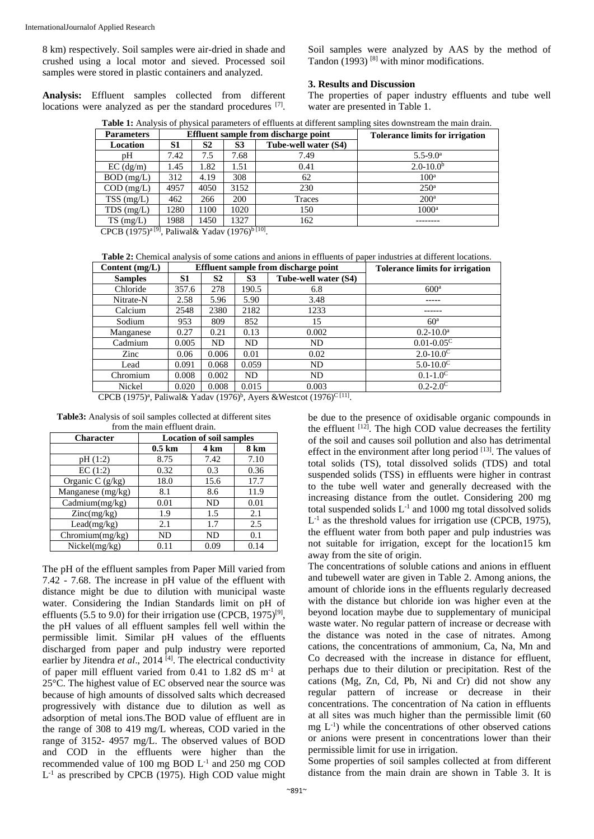8 km) respectively. Soil samples were air-dried in shade and crushed using a local motor and sieved. Processed soil samples were stored in plastic containers and analyzed.

**Analysis:** Effluent samples collected from different locations were analyzed as per the standard procedures [7].

Soil samples were analyzed by AAS by the method of Tandon (1993)<sup>[8]</sup> with minor modifications.

#### **3. Results and Discussion**

The properties of paper industry effluents and tube well water are presented in Table 1.

|  |  |  |  | Table 1: Analysis of physical parameters of effluents at different sampling sites downstream the main drain. |
|--|--|--|--|--------------------------------------------------------------------------------------------------------------|
|--|--|--|--|--------------------------------------------------------------------------------------------------------------|

| <b>Parameters</b> | Effluent sample from discharge point |      |                |                      | <b>Tolerance limits for irrigation</b> |
|-------------------|--------------------------------------|------|----------------|----------------------|----------------------------------------|
| <b>Location</b>   | S1                                   | S2   | S <sub>3</sub> | Tube-well water (S4) |                                        |
| pΗ                | 7.42                                 | 7.5  | 7.68           | 7.49                 | $5.5 - 9.0^{\circ}$                    |
| $EC$ (dg/m)       | 1.45                                 | 1.82 | 1.51           | 0.41                 | $2.0 - 10.0b$                          |
| $BOD$ (mg/L)      | 312                                  | 4.19 | 308            | 62                   | 100 <sup>a</sup>                       |
| $COD$ (mg/L)      | 4957                                 | 4050 | 3152           | 230                  | 250 <sup>a</sup>                       |
| $TSS$ (mg/L)      | 462                                  | 266  | 200            | Traces               | 200 <sup>a</sup>                       |
| $TDS$ (mg/L)      | 1280                                 | 1100 | 1020           | 150                  | $1000$ <sup>a</sup>                    |
| $TS \, (mg/L)$    | 1988                                 | 1450 | 1327           | 162                  |                                        |

CPCB (1975)<sup>a [9]</sup>, Paliwal& Yadav (1976)<sup>b [10]</sup>.

**Table 2:** Chemical analysis of some cations and anions in effluents of paper industries at different locations.

| Content $(mg/L)$ | Effluent sample from discharge point |       |       | <b>Tolerance limits for irrigation</b> |                         |
|------------------|--------------------------------------|-------|-------|----------------------------------------|-------------------------|
| <b>Samples</b>   | S <sub>1</sub>                       | S2    | S3    | Tube-well water (S4)                   |                         |
| Chloride         | 357.6                                | 278   | 190.5 | 6.8                                    | 600 <sup>a</sup>        |
| Nitrate-N        | 2.58                                 | 5.96  | 5.90  | 3.48                                   |                         |
| Calcium          | 2548                                 | 2380  | 2182  | 1233                                   |                         |
| Sodium           | 953                                  | 809   | 852   | 15                                     | 60 <sup>a</sup>         |
| Manganese        | 0.27                                 | 0.21  | 0.13  | 0.002                                  | $0.2 - 10.0^{\text{a}}$ |
| Cadmium          | 0.005                                | ND    | ND    | ND                                     | $0.01 - 0.05^{\circ}$   |
| Zinc             | 0.06                                 | 0.006 | 0.01  | 0.02                                   | $2.0 - 10.0^{\circ}$    |
| Lead             | 0.091                                | 0.068 | 0.059 | ND                                     | $5.0 - 10.0^{\circ}$    |
| Chromium         | 0.008                                | 0.002 | ND    | ND                                     | $0.1 - 1.0^C$           |
| Nickel           | 0.020                                | 0.008 | 0.015 | 0.003                                  | $0.2 - 2.0^{\circ}$     |

CPCB (1975)<sup>a</sup>, Paliwal& Yadav (1976)<sup>b</sup>, Ayers &Westcot (1976)<sup>C [11]</sup>.

**Table3:** Analysis of soil samples collected at different sites from the main effluent drain.

| <b>Character</b>     | <b>Location of soil samples</b> |      |             |
|----------------------|---------------------------------|------|-------------|
|                      | $0.5$ km                        | 4 km | <b>8 km</b> |
| pH(1:2)              | 8.75                            | 7.42 | 7.10        |
| EC(1:2)              | 0.32                            | 0.3  | 0.36        |
| Organic C $(g/kg)$   | 18.0                            | 15.6 | 17.7        |
| Manganese (mg/kg)    | 8.1                             | 8.6  | 11.9        |
| Cadmium $(mg/kg)$    | 0.01                            | ND   | 0.01        |
| $\text{Zinc}(mg/kg)$ | 1.9                             | 1.5  | 2.1         |
| Lead(mg/kg)          | 2.1                             | 1.7  | 2.5         |
| Chromium(mg/kg)      | ND                              | ND   | 0.1         |
| Nickel(mg/kg)        | 0.11                            | 0.09 | 0.14        |

The pH of the effluent samples from Paper Mill varied from 7.42 - 7.68. The increase in pH value of the effluent with distance might be due to dilution with municipal waste water. Considering the Indian Standards limit on pH of effluents (5.5 to 9.0) for their irrigation use (CPCB,  $1975$ )<sup>[9]</sup>, the pH values of all effluent samples fell well within the permissible limit. Similar pH values of the effluents discharged from paper and pulp industry were reported earlier by Jitendra et al., 2014<sup>[4]</sup>. The electrical conductivity of paper mill effluent varied from 0.41 to 1.82 dS m-1 at 25°C. The highest value of EC observed near the source was because of high amounts of dissolved salts which decreased progressively with distance due to dilution as well as adsorption of metal ions.The BOD value of effluent are in the range of 308 to 419 mg/L whereas, COD varied in the range of 3152- 4957 mg/L. The observed values of BOD and COD in the effluents were higher than the recommended value of 100 mg BOD  $L^{-1}$  and 250 mg COD  $L^{-1}$  as prescribed by CPCB (1975). High COD value might

be due to the presence of oxidisable organic compounds in the effluent  $[12]$ . The high COD value decreases the fertility of the soil and causes soil pollution and also has detrimental effect in the environment after long period [13]. The values of total solids (TS), total dissolved solids (TDS) and total suspended solids (TSS) in effluents were higher in contrast to the tube well water and generally decreased with the increasing distance from the outlet. Considering 200 mg total suspended solids  $L^{-1}$  and 1000 mg total dissolved solids  $L^{-1}$  as the threshold values for irrigation use (CPCB, 1975), the effluent water from both paper and pulp industries was not suitable for irrigation, except for the location15 km away from the site of origin.

The concentrations of soluble cations and anions in effluent and tubewell water are given in Table 2. Among anions, the amount of chloride ions in the effluents regularly decreased with the distance but chloride ion was higher even at the beyond location maybe due to supplementary of municipal waste water. No regular pattern of increase or decrease with the distance was noted in the case of nitrates. Among cations, the concentrations of ammonium, Ca, Na, Mn and Co decreased with the increase in distance for effluent, perhaps due to their dilution or precipitation. Rest of the cations (Mg, Zn, Cd, Pb, Ni and Cr) did not show any regular pattern of increase or decrease in their concentrations. The concentration of Na cation in effluents at all sites was much higher than the permissible limit (60  $mg L^{-1}$ ) while the concentrations of other observed cations or anions were present in concentrations lower than their permissible limit for use in irrigation.

Some properties of soil samples collected at from different distance from the main drain are shown in Table 3. It is